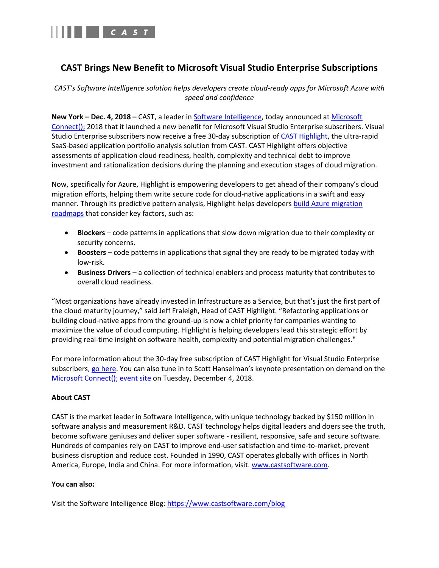

## **CAST Brings New Benefit to Microsoft Visual Studio Enterprise Subscriptions**

*CAST's Software Intelligence solution helps developers create cloud-ready apps for Microsoft Azure with speed and confidence*

**New York – Dec. 4, 2018 –** CAST, a leader in [Software Intelligence,](https://www.castsoftware.com/software-intelligence) today announced at [Microsoft](https://www.microsoft.com/en-us/connectevent)  [Connect\(\);](https://www.microsoft.com/en-us/connectevent) 2018 that it launched a new benefit for Microsoft Visual Studio Enterprise subscribers. Visual Studio Enterprise subscribers now receive a free 30-day subscription of [CAST Highlight,](https://content.casthighlight.com/build-your-smart-azure-migration-roadmap-with-fact-based-software-analytics) the ultra-rapid SaaS-based application portfolio analysis solution from CAST. CAST Highlight offers objective assessments of application cloud readiness, health, complexity and technical debt to improve investment and rationalization decisions during the planning and execution stages of cloud migration.

Now, specifically for Azure, Highlight is empowering developers to get ahead of their company's cloud migration efforts, helping them write secure code for cloud-native applications in a swift and easy manner. Through its predictive pattern analysis, Highlight helps developers [build Azure migration](https://content.casthighlight.com/build-your-smart-azure-migration-roadmap-with-fact-based-software-analytics)  [roadmaps](https://content.casthighlight.com/build-your-smart-azure-migration-roadmap-with-fact-based-software-analytics) that consider key factors, such as:

- **Blockers** code patterns in applications that slow down migration due to their complexity or security concerns.
- **Boosters** code patterns in applications that signal they are ready to be migrated today with low-risk.
- **Business Drivers** a collection of technical enablers and process maturity that contributes to overall cloud readiness.

"Most organizations have already invested in Infrastructure as a Service, but that's just the first part of the cloud maturity journey," said Jeff Fraleigh, Head of CAST Highlight. "Refactoring applications or building cloud-native apps from the ground-up is now a chief priority for companies wanting to maximize the value of cloud computing. Highlight is helping developers lead this strategic effort by providing real-time insight on software health, complexity and potential migration challenges."

For more information about the 30-day free subscription of CAST Highlight for Visual Studio Enterprise subscribers, [go here.](https://docs.microsoft.com/visualstudio/subscriptions/vs-cast) You can also tune in to Scott Hanselman's keynote presentation on demand on the [Microsoft Connect\(\); event site](https://www.microsoft.com/en-us/connectevent) on Tuesday, December 4, 2018.

## **About CAST**

CAST is the market leader in Software Intelligence, with unique technology backed by \$150 million in software analysis and measurement R&D. CAST technology helps digital leaders and doers see the truth, become software geniuses and deliver super software - resilient, responsive, safe and secure software. Hundreds of companies rely on CAST to improve end-user satisfaction and time-to-market, prevent business disruption and reduce cost. Founded in 1990, CAST operates globally with offices in North America, Europe, India and China. For more information, visit. [www.castsoftware.com.](http://www.castsoftware.com/)

## **You can also:**

Visit the Software Intelligence Blog:<https://www.castsoftware.com/blog>